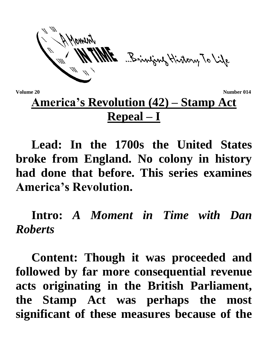ME Bringing History To Life

**Volume 20** Number 014

## **America's Revolution (42) – Stamp Act Repeal – I**

**Lead: In the 1700s the United States broke from England. No colony in history had done that before. This series examines America's Revolution.**

**Intro:** *A Moment in Time with Dan Roberts*

**Content: Though it was proceeded and followed by far more consequential revenue acts originating in the British Parliament, the Stamp Act was perhaps the most significant of these measures because of the**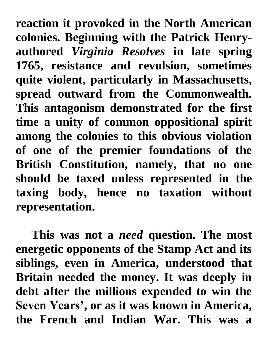**reaction it provoked in the North American colonies. Beginning with the Patrick Henryauthored** *Virginia Resolves* **in late spring 1765, resistance and revulsion, sometimes quite violent, particularly in Massachusetts, spread outward from the Commonwealth. This antagonism demonstrated for the first time a unity of common oppositional spirit among the colonies to this obvious violation of one of the premier foundations of the British Constitution, namely, that no one should be taxed unless represented in the taxing body, hence no taxation without representation.**

**This was not a** *need* **question. The most energetic opponents of the Stamp Act and its siblings, even in America, understood that Britain needed the money. It was deeply in debt after the millions expended to win the Seven Years', or as it was known in America, the French and Indian War. This was a**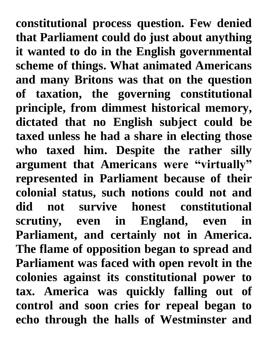**constitutional process question. Few denied that Parliament could do just about anything it wanted to do in the English governmental scheme of things. What animated Americans and many Britons was that on the question of taxation, the governing constitutional principle, from dimmest historical memory, dictated that no English subject could be taxed unless he had a share in electing those who taxed him. Despite the rather silly argument that Americans were "virtually" represented in Parliament because of their colonial status, such notions could not and did not survive honest constitutional scrutiny, even in England, even in Parliament, and certainly not in America. The flame of opposition began to spread and Parliament was faced with open revolt in the colonies against its constitutional power to tax. America was quickly falling out of control and soon cries for repeal began to echo through the halls of Westminster and**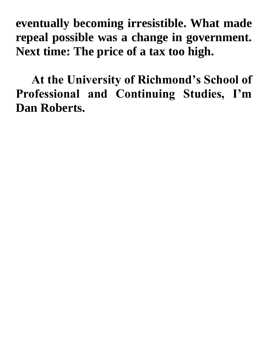**eventually becoming irresistible. What made repeal possible was a change in government. Next time: The price of a tax too high.**

**At the University of Richmond's School of Professional and Continuing Studies, I'm Dan Roberts.**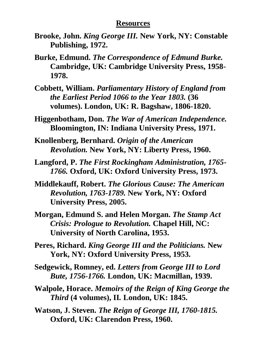## **Resources**

- **Brooke, John.** *King George III.* **New York, NY: Constable Publishing, 1972.**
- **Burke, Edmund.** *The Correspondence of Edmund Burke.*  **Cambridge, UK: Cambridge University Press, 1958- 1978.**
- **Cobbett, William.** *Parliamentary History of England from the Earliest Period 1066 to the Year 1803.* **(36 volumes). London, UK: R. Bagshaw, 1806-1820.**
- **Higgenbotham, Don.** *The War of American Independence.*  **Bloomington, IN: Indiana University Press, 1971.**
- **Knollenberg, Bernhard.** *Origin of the American Revolution.* **New York, NY: Liberty Press, 1960.**
- **Langford, P.** *The First Rockingham Administration, 1765- 1766.* **Oxford, UK: Oxford University Press, 1973.**
- **Middlekauff, Robert.** *The Glorious Cause: The American Revolution, 1763-1789.* **New York, NY: Oxford University Press, 2005.**
- **Morgan, Edmund S. and Helen Morgan.** *The Stamp Act Crisis: Prologue to Revolution.* **Chapel Hill, NC: University of North Carolina, 1953.**
- **Peres, Richard.** *King George III and the Politicians.* **New York, NY: Oxford University Press, 1953.**
- **Sedgewick, Romney, ed.** *Letters from George III to Lord Bute, 1756-1766.* **London, UK: Macmillan, 1939.**
- **Walpole, Horace.** *Memoirs of the Reign of King George the Third* **(4 volumes), II***.* **London, UK: 1845.**
- **Watson, J. Steven.** *The Reign of George III, 1760-1815.*  **Oxford, UK: Clarendon Press, 1960.**